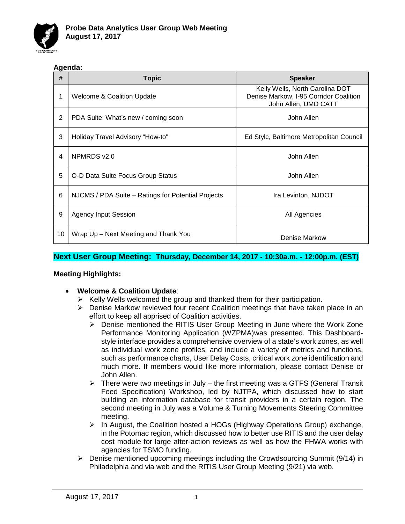

#### **Agenda:**

| #  | <b>Topic</b>                                       | <b>Speaker</b>                                                                                    |
|----|----------------------------------------------------|---------------------------------------------------------------------------------------------------|
| 1  | <b>Welcome &amp; Coalition Update</b>              | Kelly Wells, North Carolina DOT<br>Denise Markow, I-95 Corridor Coalition<br>John Allen, UMD CATT |
| 2  | PDA Suite: What's new / coming soon                | John Allen                                                                                        |
| 3  | Holiday Travel Advisory "How-to"                   | Ed Stylc, Baltimore Metropolitan Council                                                          |
| 4  | NPMRDS v2.0                                        | John Allen                                                                                        |
| 5  | O-D Data Suite Focus Group Status                  | John Allen                                                                                        |
| 6  | NJCMS / PDA Suite – Ratings for Potential Projects | Ira Levinton, NJDOT                                                                               |
| 9  | <b>Agency Input Session</b>                        | All Agencies                                                                                      |
| 10 | Wrap Up - Next Meeting and Thank You               | Denise Markow                                                                                     |

### **Next User Group Meeting: Thursday, December 14, 2017 - 10:30a.m. - 12:00p.m. (EST)**

#### **Meeting Highlights:**

- **Welcome & Coalition Update**:
	- $\triangleright$  Kelly Wells welcomed the group and thanked them for their participation.
	- $\triangleright$  Denise Markow reviewed four recent Coalition meetings that have taken place in an effort to keep all apprised of Coalition activities.
		- Denise mentioned the RITIS User Group Meeting in June where the Work Zone Performance Monitoring Application (WZPMA)was presented. This Dashboardstyle interface provides a comprehensive overview of a state's work zones, as well as individual work zone profiles, and include a variety of metrics and functions, such as performance charts, User Delay Costs, critical work zone identification and much more. If members would like more information, please contact Denise or John Allen.
		- $\triangleright$  There were two meetings in July the first meeting was a GTFS (General Transit Feed Specification) Workshop, led by NJTPA, which discussed how to start building an information database for transit providers in a certain region. The second meeting in July was a Volume & Turning Movements Steering Committee meeting.
		- $\triangleright$  In August, the Coalition hosted a HOGs (Highway Operations Group) exchange, in the Potomac region, which discussed how to better use RITIS and the user delay cost module for large after-action reviews as well as how the FHWA works with agencies for TSMO funding.
	- Denise mentioned upcoming meetings including the Crowdsourcing Summit (9/14) in Philadelphia and via web and the RITIS User Group Meeting (9/21) via web.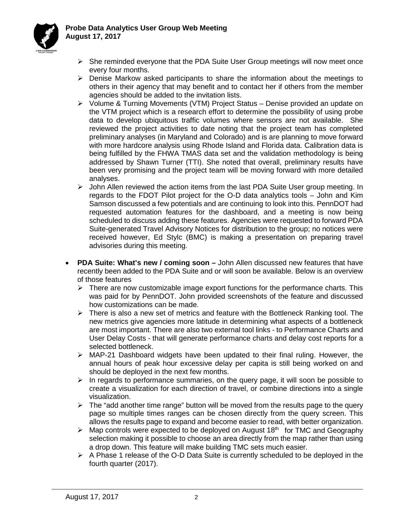

- $\triangleright$  She reminded everyone that the PDA Suite User Group meetings will now meet once every four months.
- $\triangleright$  Denise Markow asked participants to share the information about the meetings to others in their agency that may benefit and to contact her if others from the member agencies should be added to the invitation lists.
- Volume & Turning Movements (VTM) Project Status Denise provided an update on the VTM project which is a research effort to determine the possibility of using probe data to develop ubiquitous traffic volumes where sensors are not available. She reviewed the project activities to date noting that the project team has completed preliminary analyses (in Maryland and Colorado) and is are planning to move forward with more hardcore analysis using Rhode Island and Florida data. Calibration data is being fulfilled by the FHWA TMAS data set and the validation methodology is being addressed by Shawn Turner (TTI). She noted that overall, preliminary results have been very promising and the project team will be moving forward with more detailed analyses.
- $\triangleright$  John Allen reviewed the action items from the last PDA Suite User group meeting. In regards to the FDOT Pilot project for the O-D data analytics tools – John and Kim Samson discussed a few potentials and are continuing to look into this. PennDOT had requested automation features for the dashboard, and a meeting is now being scheduled to discuss adding these features. Agencies were requested to forward PDA Suite-generated Travel Advisory Notices for distribution to the group; no notices were received however, Ed Stylc (BMC) is making a presentation on preparing travel advisories during this meeting.
- **PDA Suite: What's new / coming soon –** John Allen discussed new features that have recently been added to the PDA Suite and or will soon be available. Below is an overview of those features
	- $\triangleright$  There are now customizable image export functions for the performance charts. This was paid for by PennDOT. John provided screenshots of the feature and discussed how customizations can be made.
	- $\triangleright$  There is also a new set of metrics and feature with the Bottleneck Ranking tool. The new metrics give agencies more latitude in determining what aspects of a bottleneck are most important. There are also two external tool links - to Performance Charts and User Delay Costs - that will generate performance charts and delay cost reports for a selected bottleneck.
	- $\triangleright$  MAP-21 Dashboard widgets have been updated to their final ruling. However, the annual hours of peak hour excessive delay per capita is still being worked on and should be deployed in the next few months.
	- $\triangleright$  In regards to performance summaries, on the query page, it will soon be possible to create a visualization for each direction of travel, or combine directions into a single visualization.
	- $\triangleright$  The "add another time range" button will be moved from the results page to the query page so multiple times ranges can be chosen directly from the query screen. This allows the results page to expand and become easier to read, with better organization.
	- $\triangleright$  Map controls were expected to be deployed on August 18<sup>th</sup> for TMC and Geography selection making it possible to choose an area directly from the map rather than using a drop down. This feature will make building TMC sets much easier.
	- $\triangleright$  A Phase 1 release of the O-D Data Suite is currently scheduled to be deployed in the fourth quarter (2017).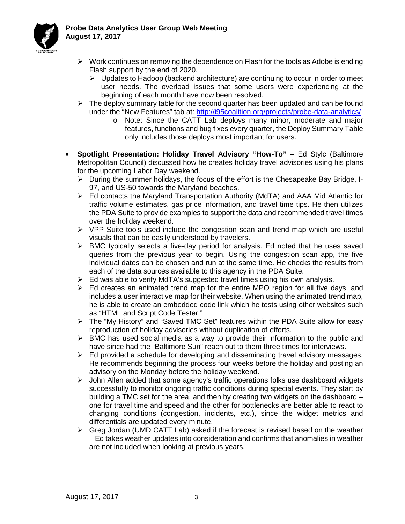

- $\triangleright$  Work continues on removing the dependence on Flash for the tools as Adobe is ending Flash support by the end of 2020.
	- $\triangleright$  Updates to Hadoop (backend architecture) are continuing to occur in order to meet user needs. The overload issues that some users were experiencing at the beginning of each month have now been resolved.
- $\triangleright$  The deploy summary table for the second quarter has been updated and can be found under the "New Features" tab at:<http://i95coalition.org/projects/probe-data-analytics/>
	- o Note: Since the CATT Lab deploys many minor, moderate and major features, functions and bug fixes every quarter, the Deploy Summary Table only includes those deploys most important for users.
- **Spotlight Presentation: Holiday Travel Advisory "How-To" –** Ed Stylc (Baltimore Metropolitan Council) discussed how he creates holiday travel advisories using his plans for the upcoming Labor Day weekend.
	- $\triangleright$  During the summer holidays, the focus of the effort is the Chesapeake Bay Bridge, I-97, and US-50 towards the Maryland beaches.
	- Ed contacts the Maryland Transportation Authority (MdTA) and AAA Mid Atlantic for traffic volume estimates, gas price information, and travel time tips. He then utilizes the PDA Suite to provide examples to support the data and recommended travel times over the holiday weekend.
	- $\triangleright$  VPP Suite tools used include the congestion scan and trend map which are useful visuals that can be easily understood by travelers.
	- $\triangleright$  BMC typically selects a five-day period for analysis. Ed noted that he uses saved queries from the previous year to begin. Using the congestion scan app, the five individual dates can be chosen and run at the same time. He checks the results from each of the data sources available to this agency in the PDA Suite.
	- $\triangleright$  Ed was able to verify MdTA's suggested travel times using his own analysis.
	- $\triangleright$  Ed creates an animated trend map for the entire MPO region for all five days, and includes a user interactive map for their website. When using the animated trend map, he is able to create an embedded code link which he tests using other websites such as "HTML and Script Code Tester."
	- The "My History" and "Saved TMC Set" features within the PDA Suite allow for easy reproduction of holiday advisories without duplication of efforts.
	- $\triangleright$  BMC has used social media as a way to provide their information to the public and have since had the "Baltimore Sun" reach out to them three times for interviews.
	- $\triangleright$  Ed provided a schedule for developing and disseminating travel advisory messages. He recommends beginning the process four weeks before the holiday and posting an advisory on the Monday before the holiday weekend.
	- $\triangleright$  John Allen added that some agency's traffic operations folks use dashboard widgets successfully to monitor ongoing traffic conditions during special events. They start by building a TMC set for the area, and then by creating two widgets on the dashboard – one for travel time and speed and the other for bottlenecks are better able to react to changing conditions (congestion, incidents, etc.), since the widget metrics and differentials are updated every minute.
	- $\triangleright$  Greg Jordan (UMD CATT Lab) asked if the forecast is revised based on the weather – Ed takes weather updates into consideration and confirms that anomalies in weather are not included when looking at previous years.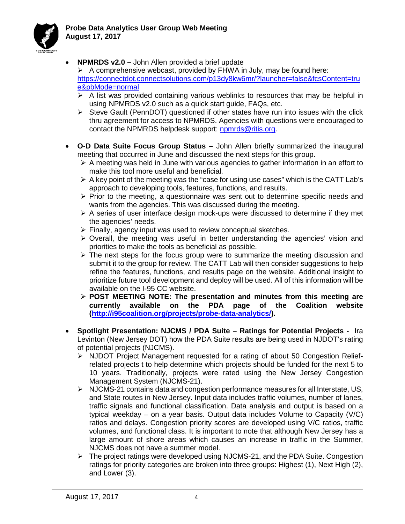

• **NPMRDS v2.0 –** John Allen provided a brief update

 $\triangleright$  A comprehensive webcast, provided by FHWA in July, may be found here: [https://connectdot.connectsolutions.com/p13dy8kw6mr/?launcher=false&fcsContent=tru](https://connectdot.connectsolutions.com/p13dy8kw6mr/?launcher=false&fcsContent=true&pbMode=normal) [e&pbMode=normal](https://connectdot.connectsolutions.com/p13dy8kw6mr/?launcher=false&fcsContent=true&pbMode=normal)

- $\triangleright$  A list was provided containing various weblinks to resources that may be helpful in using NPMRDS v2.0 such as a quick start guide, FAQs, etc.
- $\triangleright$  Steve Gault (PennDOT) questioned if other states have run into issues with the click thru agreement for access to NPMRDS. Agencies with questions were encouraged to contact the NPMRDS helpdesk support: [npmrds@ritis.org.](mailto:npmrds@ritis.org)
- **O-D Data Suite Focus Group Status –** John Allen briefly summarized the inaugural meeting that occurred in June and discussed the next steps for this group.
	- $\triangleright$  A meeting was held in June with various agencies to gather information in an effort to make this tool more useful and beneficial.
	- $\triangleright$  A key point of the meeting was the "case for using use cases" which is the CATT Lab's approach to developing tools, features, functions, and results.
	- $\triangleright$  Prior to the meeting, a questionnaire was sent out to determine specific needs and wants from the agencies. This was discussed during the meeting.
	- $\triangleright$  A series of user interface design mock-ups were discussed to determine if they met the agencies' needs.
	- $\triangleright$  Finally, agency input was used to review conceptual sketches.
	- $\triangleright$  Overall, the meeting was useful in better understanding the agencies' vision and priorities to make the tools as beneficial as possible.
	- $\triangleright$  The next steps for the focus group were to summarize the meeting discussion and submit it to the group for review. The CATT Lab will then consider suggestions to help refine the features, functions, and results page on the website. Additional insight to prioritize future tool development and deploy will be used. All of this information will be available on the I-95 CC website.
	- **POST MEETING NOTE: The presentation and minutes from this meeting are currently available on the PDA page of the Coalition website [\(http://i95coalition.org/projects/probe-data-analytics/\)](http://i95coalition.org/projects/probe-data-analytics/).**
- **Spotlight Presentation: NJCMS / PDA Suite – Ratings for Potential Projects -** Ira Levinton (New Jersey DOT) how the PDA Suite results are being used in NJDOT's rating of potential projects (NJCMS).
	- $\triangleright$  NJDOT Project Management requested for a rating of about 50 Congestion Reliefrelated projects t to help determine which projects should be funded for the next 5 to 10 years. Traditionally, projects were rated using the New Jersey Congestion Management System (NJCMS-21).
	- $\triangleright$  NJCMS-21 contains data and congestion performance measures for all Interstate, US, and State routes in New Jersey. Input data includes traffic volumes, number of lanes, traffic signals and functional classification. Data analysis and output is based on a typical weekday – on a year basis. Output data includes Volume to Capacity (V/C) ratios and delays. Congestion priority scores are developed using V/C ratios, traffic volumes, and functional class. It is important to note that although New Jersey has a large amount of shore areas which causes an increase in traffic in the Summer, NJCMS does not have a summer model.
	- $\triangleright$  The project ratings were developed using NJCMS-21, and the PDA Suite. Congestion ratings for priority categories are broken into three groups: Highest (1), Next High (2), and Lower (3).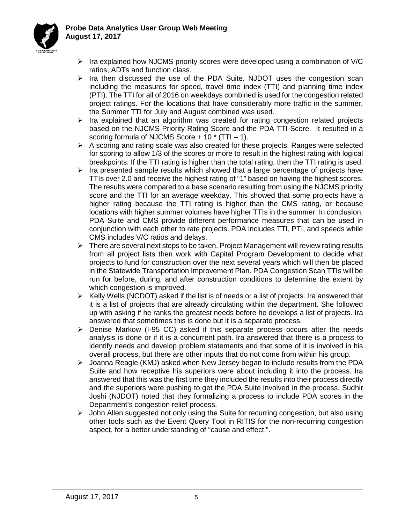### **Probe Data Analytics User Group Web Meeting August 17, 2017**



- $\triangleright$  Ira explained how NJCMS priority scores were developed using a combination of V/C ratios, ADTs and function class.
- $\triangleright$  Ira then discussed the use of the PDA Suite. NJDOT uses the congestion scan including the measures for speed, travel time index (TTI) and planning time index (PTI). The TTI for all of 2016 on weekdays combined is used for the congestion related project ratings. For the locations that have considerably more traffic in the summer, the Summer TTI for July and August combined was used.
- $\triangleright$  Ira explained that an algorithm was created for rating congestion related projects based on the NJCMS Priority Rating Score and the PDA TTI Score. It resulted in a scoring formula of NJCMS Score  $+ 10 \times (TTI - 1)$ .
- $\triangleright$  A scoring and rating scale was also created for these projects. Ranges were selected for scoring to allow 1/3 of the scores or more to result in the highest rating with logical breakpoints. If the TTI rating is higher than the total rating, then the TTI rating is used.
- $\triangleright$  Ira presented sample results which showed that a large percentage of projects have TTIs over 2.0 and receive the highest rating of "1" based on having the highest scores. The results were compared to a base scenario resulting from using the NJCMS priority score and the TTI for an average weekday. This showed that some projects have a higher rating because the TTI rating is higher than the CMS rating, or because locations with higher summer volumes have higher TTIs in the summer. In conclusion, PDA Suite and CMS provide different performance measures that can be used in conjunction with each other to rate projects. PDA includes TTI, PTI, and speeds while CMS includes V/C ratios and delays.
- $\triangleright$  There are several next steps to be taken. Project Management will review rating results from all project lists then work with Capital Program Development to decide what projects to fund for construction over the next several years which will then be placed in the Statewide Transportation Improvement Plan. PDA Congestion Scan TTIs will be run for before, during, and after construction conditions to determine the extent by which congestion is improved.
- $\triangleright$  Kelly Wells (NCDOT) asked if the list is of needs or a list of projects. Ira answered that it is a list of projects that are already circulating within the department. She followed up with asking if he ranks the greatest needs before he develops a list of projects. Ira answered that sometimes this is done but it is a separate process.
- $\triangleright$  Denise Markow (I-95 CC) asked if this separate process occurs after the needs analysis is done or if it is a concurrent path. Ira answered that there is a process to identify needs and develop problem statements and that some of it is involved in his overall process, but there are other inputs that do not come from within his group.
- $\triangleright$  Joanna Reagle (KMJ) asked when New Jersey began to include results from the PDA Suite and how receptive his superiors were about including it into the process. Ira answered that this was the first time they included the results into their process directly and the superiors were pushing to get the PDA Suite involved in the process. Sudhir Joshi (NJDOT) noted that they formalizing a process to include PDA scores in the Department's congestion relief process.
- $\triangleright$  John Allen suggested not only using the Suite for recurring congestion, but also using other tools such as the Event Query Tool in RITIS for the non-recurring congestion aspect, for a better understanding of "cause and effect.".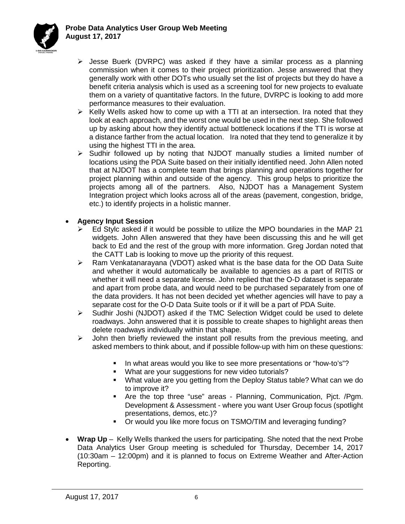

- $\triangleright$  Jesse Buerk (DVRPC) was asked if they have a similar process as a planning commission when it comes to their project prioritization. Jesse answered that they generally work with other DOTs who usually set the list of projects but they do have a benefit criteria analysis which is used as a screening tool for new projects to evaluate them on a variety of quantitative factors. In the future, DVRPC is looking to add more performance measures to their evaluation.
- $\triangleright$  Kelly Wells asked how to come up with a TTI at an intersection. Ira noted that they look at each approach, and the worst one would be used in the next step. She followed up by asking about how they identify actual bottleneck locations if the TTI is worse at a distance farther from the actual location. Ira noted that they tend to generalize it by using the highest TTI in the area.
- $\triangleright$  Sudhir followed up by noting that NJDOT manually studies a limited number of locations using the PDA Suite based on their initially identified need. John Allen noted that at NJDOT has a complete team that brings planning and operations together for project planning within and outside of the agency. This group helps to prioritize the projects among all of the partners. Also, NJDOT has a Management System Integration project which looks across all of the areas (pavement, congestion, bridge, etc.) to identify projects in a holistic manner.

### • **Agency Input Session**

- Ed Stylc asked if it would be possible to utilize the MPO boundaries in the MAP 21 widgets. John Allen answered that they have been discussing this and he will get back to Ed and the rest of the group with more information. Greg Jordan noted that the CATT Lab is looking to move up the priority of this request.
- Ram Venkatanarayana (VDOT) asked what is the base data for the OD Data Suite and whether it would automatically be available to agencies as a part of RITIS or whether it will need a separate license. John replied that the O-D dataset is separate and apart from probe data, and would need to be purchased separately from one of the data providers. It has not been decided yet whether agencies will have to pay a separate cost for the O-D Data Suite tools or if it will be a part of PDA Suite.
- Sudhir Joshi (NJDOT) asked if the TMC Selection Widget could be used to delete roadways. John answered that it is possible to create shapes to highlight areas then delete roadways individually within that shape.
- $\triangleright$  John then briefly reviewed the instant poll results from the previous meeting, and asked members to think about, and if possible follow-up with him on these questions:
	- In what areas would you like to see more presentations or "how-to's"?
	- **What are your suggestions for new video tutorials?**
	- What value are you getting from the Deploy Status table? What can we do to improve it?
	- Are the top three "use" areas Planning, Communication, Pjct. /Pgm. Development & Assessment - where you want User Group focus (spotlight presentations, demos, etc.)?
	- Or would you like more focus on TSMO/TIM and leveraging funding?
- **Wrap Up** Kelly Wells thanked the users for participating. She noted that the next Probe Data Analytics User Group meeting is scheduled for Thursday, December 14, 2017 (10:30am – 12:00pm) and it is planned to focus on Extreme Weather and After-Action Reporting.